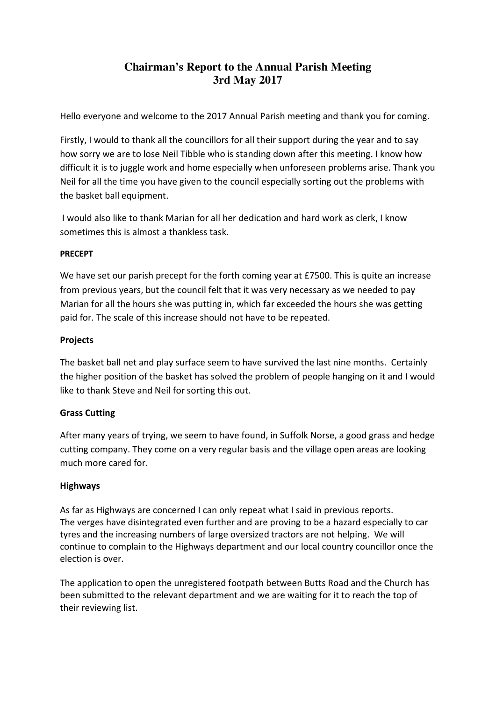# **Chairman's Report to the Annual Parish Meeting 3rd May 2017**

Hello everyone and welcome to the 2017 Annual Parish meeting and thank you for coming.

Firstly, I would to thank all the councillors for all their support during the year and to say how sorry we are to lose Neil Tibble who is standing down after this meeting. I know how difficult it is to juggle work and home especially when unforeseen problems arise. Thank you Neil for all the time you have given to the council especially sorting out the problems with the basket ball equipment.

 I would also like to thank Marian for all her dedication and hard work as clerk, I know sometimes this is almost a thankless task.

## PRECEPT

We have set our parish precept for the forth coming year at £7500. This is quite an increase from previous years, but the council felt that it was very necessary as we needed to pay Marian for all the hours she was putting in, which far exceeded the hours she was getting paid for. The scale of this increase should not have to be repeated.

### Projects

The basket ball net and play surface seem to have survived the last nine months. Certainly the higher position of the basket has solved the problem of people hanging on it and I would like to thank Steve and Neil for sorting this out.

## Grass Cutting

After many years of trying, we seem to have found, in Suffolk Norse, a good grass and hedge cutting company. They come on a very regular basis and the village open areas are looking much more cared for.

## Highways

As far as Highways are concerned I can only repeat what I said in previous reports. The verges have disintegrated even further and are proving to be a hazard especially to car tyres and the increasing numbers of large oversized tractors are not helping. We will continue to complain to the Highways department and our local country councillor once the election is over.

The application to open the unregistered footpath between Butts Road and the Church has been submitted to the relevant department and we are waiting for it to reach the top of their reviewing list.